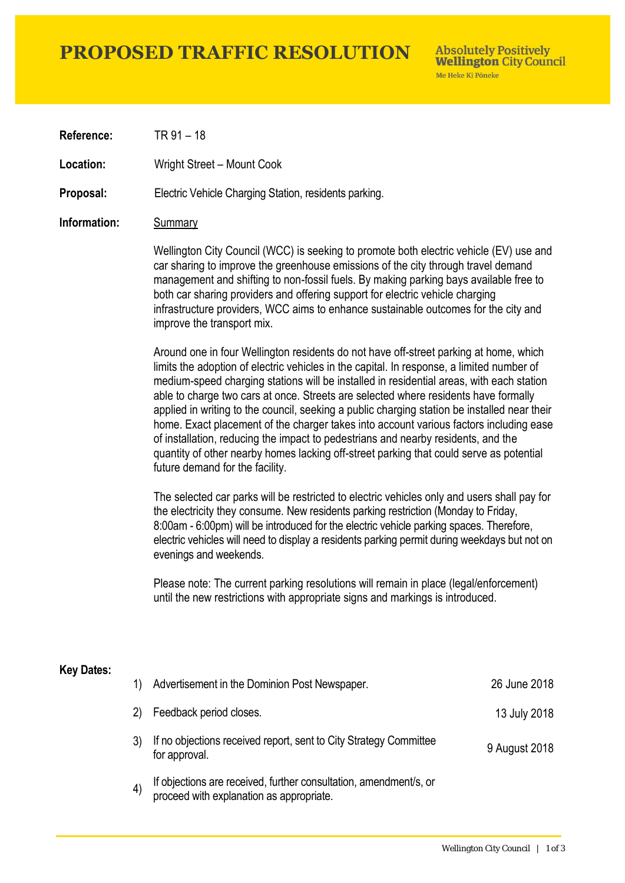## **PROPOSED TRAFFIC RESOLUTION**

**Absolutely Positively Wellington City Council** Me Heke Ki Pôneke

**Reference:** TR 91 – 18

Location: Wright Street – Mount Cook

**Proposal:** Electric Vehicle Charging Station, residents parking.

### **Information:** Summary

Wellington City Council (WCC) is seeking to promote both electric vehicle (EV) use and car sharing to improve the greenhouse emissions of the city through travel demand management and shifting to non-fossil fuels. By making parking bays available free to both car sharing providers and offering support for electric vehicle charging infrastructure providers, WCC aims to enhance sustainable outcomes for the city and improve the transport mix.

Around one in four Wellington residents do not have off-street parking at home, which limits the adoption of electric vehicles in the capital. In response, a limited number of medium-speed charging stations will be installed in residential areas, with each station able to charge two cars at once. Streets are selected where residents have formally applied in writing to the council, seeking a public charging station be installed near their home. Exact placement of the charger takes into account various factors including ease of installation, reducing the impact to pedestrians and nearby residents, and the quantity of other nearby homes lacking off-street parking that could serve as potential future demand for the facility.

The selected car parks will be restricted to electric vehicles only and users shall pay for the electricity they consume. New residents parking restriction (Monday to Friday, 8:00am - 6:00pm) will be introduced for the electric vehicle parking spaces. Therefore, electric vehicles will need to display a residents parking permit during weekdays but not on evenings and weekends.

Please note: The current parking resolutions will remain in place (legal/enforcement) until the new restrictions with appropriate signs and markings is introduced.

#### **Key Dates:**

| 1)                | Advertisement in the Dominion Post Newspaper.                                                                 | 26 June 2018  |
|-------------------|---------------------------------------------------------------------------------------------------------------|---------------|
| 2)                | Feedback period closes.                                                                                       | 13 July 2018  |
|                   | If no objections received report, sent to City Strategy Committee<br>for approval.                            | 9 August 2018 |
| $\left( 4\right)$ | If objections are received, further consultation, amendment/s, or<br>proceed with explanation as appropriate. |               |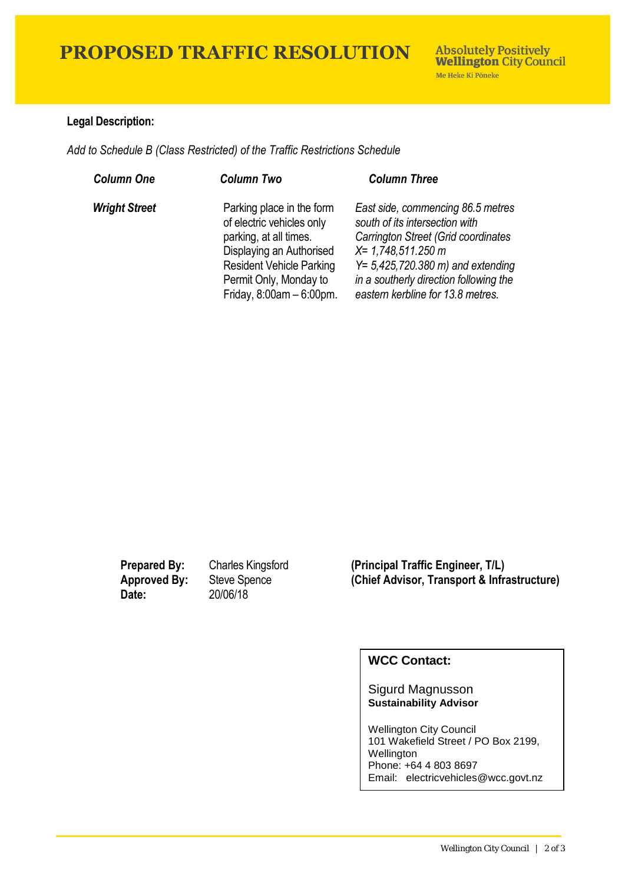# **PROPOSED TRAFFIC RESOLUTION**

### **Legal Description:**

*Add to Schedule B (Class Restricted) of the Traffic Restrictions Schedule* 

| <b>Column One</b>    | <b>Column Two</b>                                                                                                                                                                                        | <b>Column Three</b>                                                                                                                                                                                                                                               |
|----------------------|----------------------------------------------------------------------------------------------------------------------------------------------------------------------------------------------------------|-------------------------------------------------------------------------------------------------------------------------------------------------------------------------------------------------------------------------------------------------------------------|
| <b>Wright Street</b> | Parking place in the form<br>of electric vehicles only<br>parking, at all times.<br>Displaying an Authorised<br><b>Resident Vehicle Parking</b><br>Permit Only, Monday to<br>Friday, $8:00am - 6:00pm$ . | East side, commencing 86.5 metres<br>south of its intersection with<br>Carrington Street (Grid coordinates<br>$X = 1,748,511.250$ m<br>$Y = 5,425,720.380 \text{ m}$ and extending<br>in a southerly direction following the<br>eastern kerbline for 13.8 metres. |

**Date:** 20/06/18

**Prepared By:** Charles Kingsford **(Principal Traffic Engineer, T/L) Approved By:** Steve Spence **(Chief Advisor, Transport & Infrastructure)**

### **WCC Contact:**

#### Sigurd Magnusson **Sustainability Advisor**

Wellington City Council 101 Wakefield Street / PO Box 2199, Wellington Phone: +64 4 803 8697 Email: electricvehicles@wcc.govt.nz